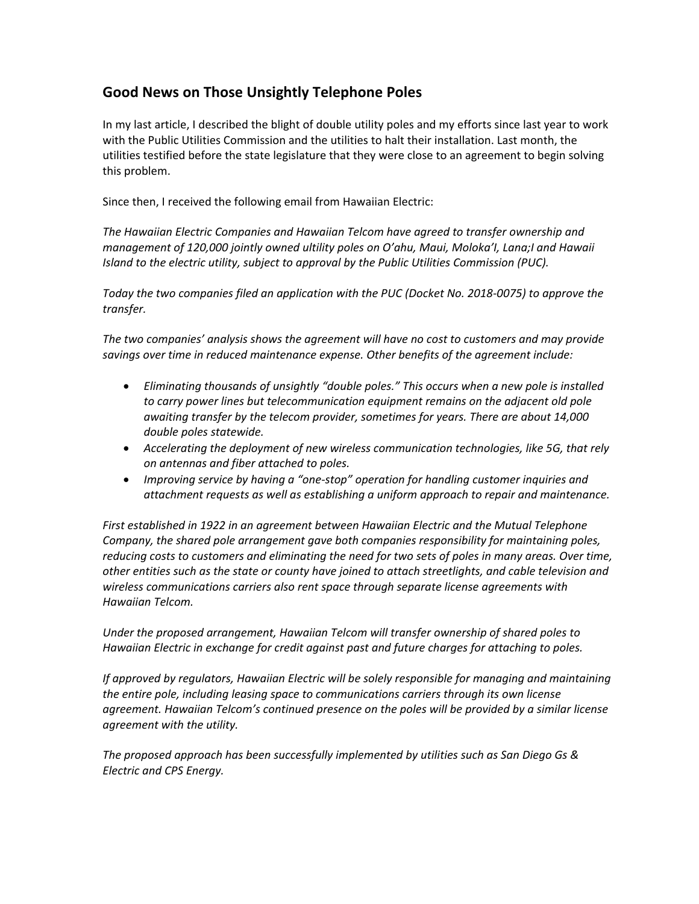## **Good News on Those Unsightly Telephone Poles**

In my last article, I described the blight of double utility poles and my efforts since last year to work with the Public Utilities Commission and the utilities to halt their installation. Last month, the utilities testified before the state legislature that they were close to an agreement to begin solving this problem.

Since then, I received the following email from Hawaiian Electric:

*The Hawaiian Electric Companies and Hawaiian Telcom have agreed to transfer ownership and management of 120,000 jointly owned ultility poles on O'ahu, Maui, Moloka'I, Lana;I and Hawaii Island to the electric utility, subject to approval by the Public Utilities Commission (PUC).* 

*Today the two companies filed an application with the PUC (Docket No. 2018‐0075) to approve the transfer.* 

*The two companies' analysis shows the agreement will have no cost to customers and may provide savings over time in reduced maintenance expense. Other benefits of the agreement include:* 

- *Eliminating thousands of unsightly "double poles." This occurs when a new pole is installed to carry power lines but telecommunication equipment remains on the adjacent old pole awaiting transfer by the telecom provider, sometimes for years. There are about 14,000 double poles statewide.*
- *Accelerating the deployment of new wireless communication technologies, like 5G, that rely on antennas and fiber attached to poles.*
- *Improving service by having a "one‐stop" operation for handling customer inquiries and attachment requests as well as establishing a uniform approach to repair and maintenance.*

*First established in 1922 in an agreement between Hawaiian Electric and the Mutual Telephone Company, the shared pole arrangement gave both companies responsibility for maintaining poles, reducing costs to customers and eliminating the need for two sets of poles in many areas. Over time, other entities such as the state or county have joined to attach streetlights, and cable television and wireless communications carriers also rent space through separate license agreements with Hawaiian Telcom.* 

*Under the proposed arrangement, Hawaiian Telcom will transfer ownership of shared poles to Hawaiian Electric in exchange for credit against past and future charges for attaching to poles.* 

*If approved by regulators, Hawaiian Electric will be solely responsible for managing and maintaining the entire pole, including leasing space to communications carriers through its own license agreement. Hawaiian Telcom's continued presence on the poles will be provided by a similar license agreement with the utility.* 

*The proposed approach has been successfully implemented by utilities such as San Diego Gs & Electric and CPS Energy.*